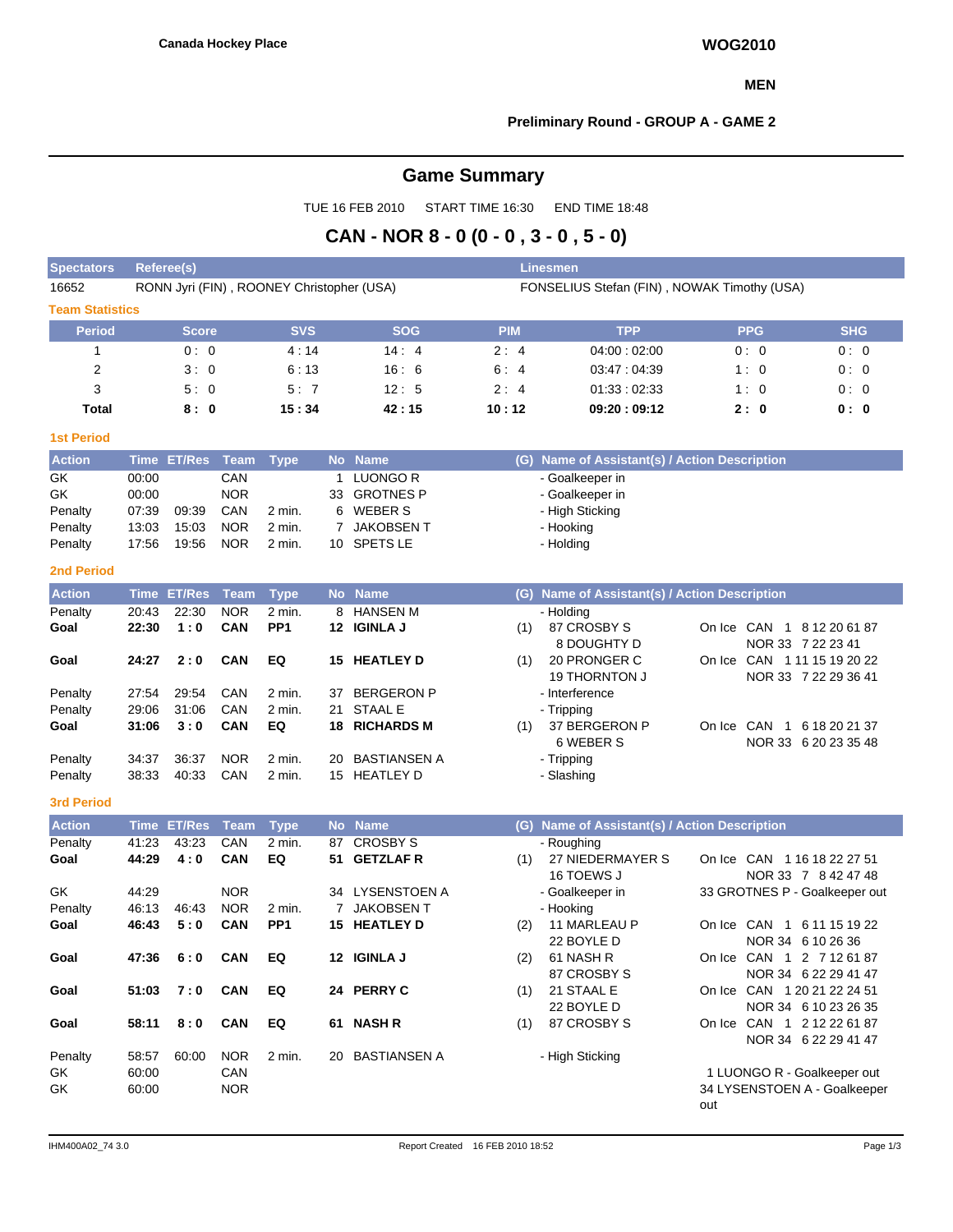### **MEN**

## **Preliminary Round - GROUP A - GAME 2**

# **Game Summary**

TUE 16 FEB 2010 START TIME 16:30 END TIME 18:48

## **CAN - NOR 8 - 0 (0 - 0 , 3 - 0 , 5 - 0)**

| <b>Spectators</b>       | <b>Linesmen</b><br>Referee(s)                 |                    |                          |                                           |             |                                 |            |                                                  |                                                 |                      |  |  |  |  |
|-------------------------|-----------------------------------------------|--------------------|--------------------------|-------------------------------------------|-------------|---------------------------------|------------|--------------------------------------------------|-------------------------------------------------|----------------------|--|--|--|--|
| 16652                   |                                               |                    |                          | RONN Jyri (FIN), ROONEY Christopher (USA) |             |                                 |            | FONSELIUS Stefan (FIN), NOWAK Timothy (USA)      |                                                 |                      |  |  |  |  |
| <b>Team Statistics</b>  |                                               |                    |                          |                                           |             |                                 |            |                                                  |                                                 |                      |  |  |  |  |
| <b>Period</b>           |                                               | <b>Score</b>       |                          | <b>SVS</b>                                |             | <b>SOG</b>                      | <b>PIM</b> | <b>TPP</b>                                       | <b>PPG</b>                                      | <b>SHG</b>           |  |  |  |  |
| 1                       |                                               | 0:0                |                          | 14:4<br>4:14                              |             |                                 | 2:4        | 04:00:02:00                                      | 0:0                                             | 0:0                  |  |  |  |  |
| $\overline{\mathbf{c}}$ |                                               | 3:0                |                          | 6:13<br>16:6                              |             |                                 | 6:4        | 03:47:04:39                                      | 1:0                                             | 0:0                  |  |  |  |  |
| 3                       |                                               | 5:0                |                          | 5:7                                       |             | 12:5                            | 2:4        | 01:33:02:33                                      | 1:0                                             | 0:0                  |  |  |  |  |
| Total                   | 8:0<br>15:34<br>42:15<br>10:12<br>09:20:09:12 |                    |                          |                                           |             |                                 |            |                                                  | 2:0                                             | 0: 0                 |  |  |  |  |
| <b>1st Period</b>       |                                               |                    |                          |                                           |             |                                 |            |                                                  |                                                 |                      |  |  |  |  |
| <b>Action</b>           |                                               | Time ET/Res Team   |                          | <b>Type</b>                               |             | No Name                         |            | (G) Name of Assistant(s) / Action Description    |                                                 |                      |  |  |  |  |
| GK                      | 00:00                                         |                    | CAN                      |                                           |             | 1 LUONGO R                      |            | - Goalkeeper in                                  |                                                 |                      |  |  |  |  |
| GK                      | 00:00                                         |                    | <b>NOR</b>               |                                           | 33          | <b>GROTNES P</b>                |            | - Goalkeeper in                                  |                                                 |                      |  |  |  |  |
| Penalty                 | 07:39                                         | 09:39              | CAN                      | 2 min.                                    | 6           | <b>WEBER S</b>                  |            | - High Sticking                                  |                                                 |                      |  |  |  |  |
| Penalty                 | 13:03                                         | 15:03              | <b>NOR</b>               | 2 min.                                    | $7^{\circ}$ | <b>JAKOBSENT</b>                |            | - Hooking                                        |                                                 |                      |  |  |  |  |
| Penalty                 | 17:56                                         | 19:56              | <b>NOR</b>               | 2 min.                                    | 10          | <b>SPETS LE</b>                 |            | - Holding                                        |                                                 |                      |  |  |  |  |
| <b>2nd Period</b>       |                                               |                    |                          |                                           |             |                                 |            |                                                  |                                                 |                      |  |  |  |  |
| <b>Action</b>           | <b>Time</b>                                   | <b>ET/Res</b>      | <b>Team</b>              | <b>Type</b>                               | <b>No</b>   | <b>Name</b>                     | (G)        | <b>Name of Assistant(s) / Action Description</b> |                                                 |                      |  |  |  |  |
| Penalty                 | 20:43                                         | 22:30              | <b>NOR</b>               | 2 min.                                    | 8           | <b>HANSEN M</b>                 |            | - Holding                                        |                                                 |                      |  |  |  |  |
| Goal                    | 22:30                                         | 1:0                | <b>CAN</b>               | PP <sub>1</sub>                           |             | 12 IGINLA J                     | (1)        | 87 CROSBY S<br>8 DOUGHTY D                       | On Ice CAN 1 8 12 20 61 87<br>NOR 33 7 22 23 41 |                      |  |  |  |  |
| Goal                    | 24:27                                         | 2:0                | <b>CAN</b>               | EQ                                        |             | 15 HEATLEY D                    | (1)        | 20 PRONGER C<br><b>19 THORNTON J</b>             | On Ice CAN 1 11 15 19 20 22                     | NOR 33 7 22 29 36 41 |  |  |  |  |
| Penalty                 | 27:54                                         | 29:54              | CAN                      | 2 min.                                    | 37          | <b>BERGERON P</b>               |            | - Interference                                   |                                                 |                      |  |  |  |  |
| Penalty                 | 29:06                                         | 31:06              | CAN                      | 2 min.                                    | 21          | <b>STAAL E</b>                  |            | - Tripping                                       |                                                 |                      |  |  |  |  |
| Goal                    | 31:06                                         | 3:0                | <b>CAN</b>               | EQ                                        | 18          | <b>RICHARDS M</b>               | (1)        | 37 BERGERON P                                    | On Ice CAN 1 6 18 20 21 37                      |                      |  |  |  |  |
|                         |                                               |                    |                          |                                           |             |                                 |            | 6 WEBER S                                        |                                                 | NOR 33 6 20 23 35 48 |  |  |  |  |
| Penalty                 | 34:37                                         | 36:37              | <b>NOR</b>               | 2 min.                                    | 20          | <b>BASTIANSEN A</b>             |            | - Tripping                                       |                                                 |                      |  |  |  |  |
| Penalty                 | 38:33                                         | 40:33              | CAN                      | 2 min.                                    |             | 15 HEATLEY D                    |            | - Slashing                                       |                                                 |                      |  |  |  |  |
| <b>3rd Period</b>       |                                               |                    |                          |                                           |             |                                 |            |                                                  |                                                 |                      |  |  |  |  |
| <b>Action</b>           |                                               | <b>Time ET/Res</b> | <b>Team</b>              | <b>Type</b>                               |             | No Name                         |            | (G) Name of Assistant(s) / Action Description    |                                                 |                      |  |  |  |  |
| Penalty                 | 41:23                                         | 43:23              | CAN                      | 2 min.                                    |             | 87 CROSBY S                     |            | - Roughing                                       |                                                 |                      |  |  |  |  |
| Goal                    | 44:29                                         | 4:0                | CAN                      | EQ                                        | 51          | <b>GETZLAF R</b>                | (1)        | 27 NIEDERMAYER S                                 | On Ice CAN 1 16 18 22 27 51                     |                      |  |  |  |  |
|                         |                                               |                    |                          |                                           |             |                                 |            | 16 TOEWS J                                       |                                                 | NOR 33 7 8 42 47 48  |  |  |  |  |
| GK<br>Penalty           | 44:29<br>46:13                                | 46:43              | <b>NOR</b><br><b>NOR</b> | 2 min.                                    |             | 34 LYSENSTOEN A<br>7 JAKOBSEN T |            | - Goalkeeper in                                  | 33 GROTNES P - Goalkeeper out                   |                      |  |  |  |  |
| Goal                    | 46:43                                         | 5:0                | <b>CAN</b>               | PP <sub>1</sub>                           |             | 15 HEATLEY D                    | (2)        | - Hooking<br>11 MARLEAU P                        | On Ice CAN 1 6 11 15 19 22                      |                      |  |  |  |  |
|                         |                                               |                    |                          |                                           |             |                                 |            | 22 BOYLE D                                       | NOR 34 6 10 26 36                               |                      |  |  |  |  |
| Goal                    | 47:36                                         | 6:0                | CAN                      | EQ                                        |             | 12 IGINLA J                     | (2)        | 61 NASH R                                        | On Ice CAN 1 2 7 12 61 87                       |                      |  |  |  |  |
|                         |                                               |                    |                          |                                           |             |                                 |            | 87 CROSBY S                                      |                                                 | NOR 34 6 22 29 41 47 |  |  |  |  |
| Goal                    | 51:03                                         | 7:0                | CAN                      | EQ                                        |             | 24 PERRY C                      | (1)        | 21 STAAL E                                       | On Ice CAN 1 20 21 22 24 51                     |                      |  |  |  |  |
|                         |                                               |                    |                          |                                           |             |                                 |            | 22 BOYLE D                                       |                                                 | NOR 34 6 10 23 26 35 |  |  |  |  |
| Goal                    | 58:11                                         | 8:0                | CAN                      | EQ                                        |             | 61 NASH R                       | (1)        | 87 CROSBY S                                      | On Ice CAN 1 2 12 22 61 87                      |                      |  |  |  |  |
|                         |                                               |                    |                          |                                           |             |                                 |            |                                                  |                                                 | NOR 34 6 22 29 41 47 |  |  |  |  |
| Penalty                 | 58:57                                         | 60:00              | <b>NOR</b>               | 2 min.                                    |             | 20 BASTIANSEN A                 |            | - High Sticking                                  |                                                 |                      |  |  |  |  |
| GK                      | 60:00                                         |                    | CAN                      |                                           |             |                                 |            |                                                  | 1 LUONGO R - Goalkeeper out                     |                      |  |  |  |  |
| GK                      | 60:00                                         |                    | <b>NOR</b>               |                                           |             |                                 |            |                                                  | 34 LYSENSTOEN A - Goalkeeper                    |                      |  |  |  |  |
|                         |                                               |                    |                          |                                           |             |                                 |            |                                                  | out                                             |                      |  |  |  |  |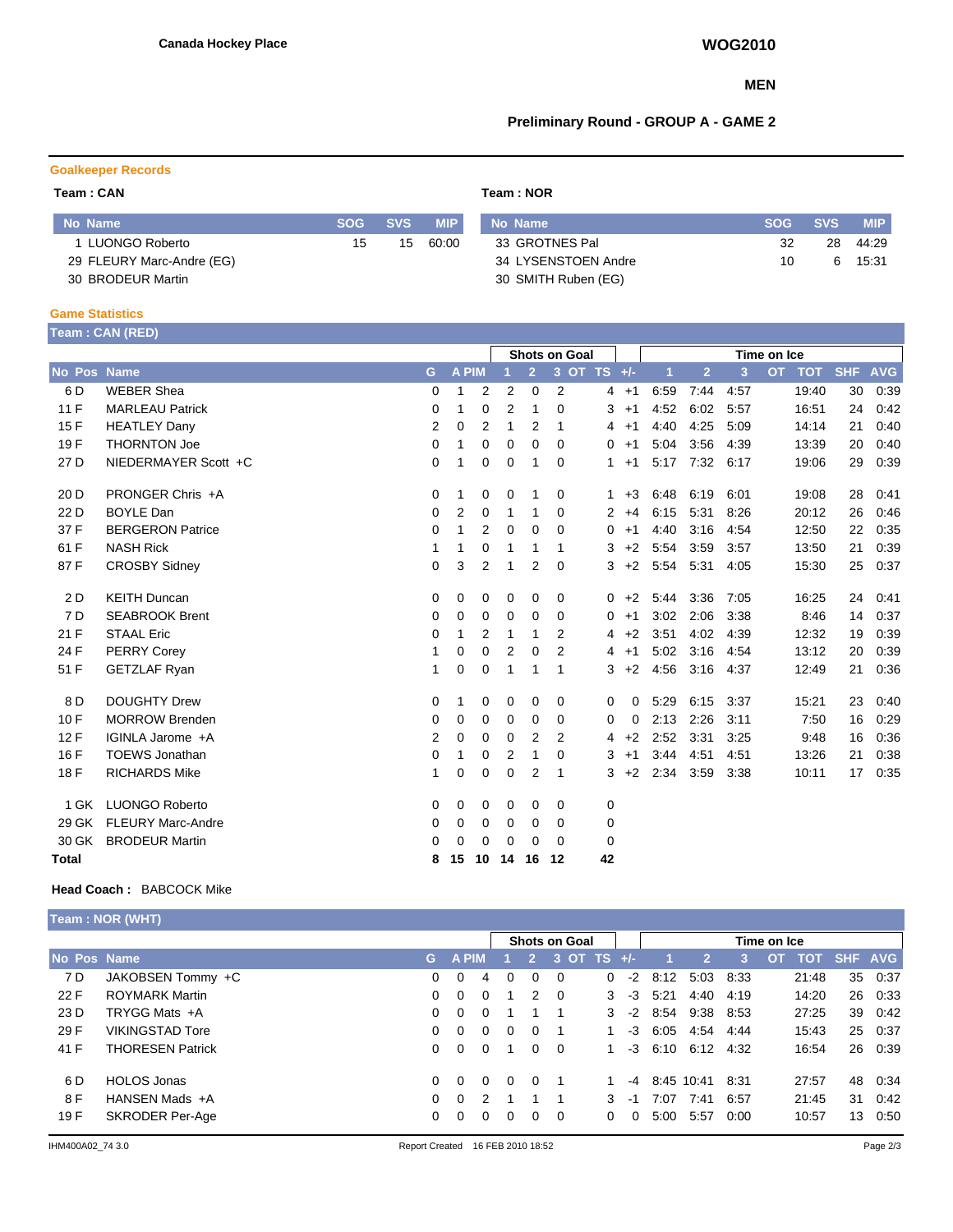### **MEN**

## **Preliminary Round - GROUP A - GAME 2**

## **Goalkeeper Records**

#### **Team : CAN Team : NOR**

| No Name                   | <b>SOG</b> | <b>SVS</b> | <b>MIP</b> | No Name             | SOG | <b>SVS</b> | <b>MIP</b> |
|---------------------------|------------|------------|------------|---------------------|-----|------------|------------|
| LUONGO Roberto            | 15         | 15         | 60:00      | 33 GROTNES Pal      | 32  | 28         | 44.29      |
| 29 FLEURY Marc-Andre (EG) |            |            |            | 34 LYSENSTOEN Andre | 10  | ี          | 15:31      |
| 30 BRODEUR Martin         |            |            |            | 30 SMITH Ruben (EG) |     |            |            |

### **Game Statistics**

| Team: CAN (RED) |  |
|-----------------|--|
|                 |  |

|                    |                          |   |                |                | Shots on Goal |                |          |                |            |             | Time on Ice    |      |                         |            |            |
|--------------------|--------------------------|---|----------------|----------------|---------------|----------------|----------|----------------|------------|-------------|----------------|------|-------------------------|------------|------------|
| <b>No Pos Name</b> |                          | G | A PIM          |                |               | $\overline{2}$ |          | 3 OT TS +/-    |            | $\mathbf 1$ | $\overline{2}$ | 3    | <b>OT</b><br><b>TOT</b> | <b>SHF</b> | <b>AVG</b> |
| 6 D                | <b>WEBER Shea</b>        | 0 | 1              | 2              | 2             | 0              | 2        | 4              | $+1$       | 6:59        | 7:44           | 4:57 | 19:40                   | 30         | 0:39       |
| 11F                | <b>MARLEAU Patrick</b>   | 0 | 1              | 0              | 2             | 1              | 0        | 3              | $+1$       | 4:52        | 6:02           | 5:57 | 16:51                   | 24         | 0:42       |
| 15F                | <b>HEATLEY Dany</b>      | 2 | 0              | 2              | 1             | 2              | 1        | 4              | $+1$       | 4:40        | 4:25           | 5:09 | 14:14                   | 21         | 0:40       |
| 19F                | <b>THORNTON Joe</b>      | 0 | 1              | 0              | 0             | 0              | $\Omega$ | 0              | $+1$       | 5:04        | 3:56           | 4:39 | 13:39                   | 20         | 0:40       |
| 27 D               | NIEDERMAYER Scott +C     | 0 | 1              | 0              | 0             | 1              | $\Omega$ | 1              | $+1$       | 5:17        | 7:32           | 6:17 | 19:06                   | 29         | 0:39       |
| 20 D               | PRONGER Chris +A         | 0 | 1              | 0              | 0             | 1              | 0        |                | $+3$<br>1. | 6:48        | 6:19           | 6:01 | 19:08                   | 28         | 0:41       |
| 22 D               | <b>BOYLE Dan</b>         | 0 | $\overline{2}$ | 0              | 1             | 1              | $\Omega$ | $\overline{2}$ | $+4$       | 6:15        | 5:31           | 8:26 | 20:12                   | 26         | 0.46       |
| 37 F               | <b>BERGERON Patrice</b>  | 0 | 1              | 2              | 0             | 0              | 0        | 0              | $+1$       | 4:40        | 3:16           | 4:54 | 12:50                   | 22         | 0:35       |
| 61 F               | <b>NASH Rick</b>         |   | 1              | 0              | 1             | 1              | 1        | 3              | $+2$       | 5:54        | 3:59           | 3:57 | 13:50                   | 21         | 0:39       |
| 87F                | <b>CROSBY Sidney</b>     | 0 | 3              | $\overline{2}$ | 1             | 2              | 0        | 3              | $+2$       | 5:54        | 5:31           | 4:05 | 15:30                   | 25         | 0:37       |
| 2D                 | <b>KEITH Duncan</b>      | 0 | 0              | 0              | 0             | 0              | 0        | 0              | $+2$       | 5:44        | 3:36           | 7:05 | 16:25                   | 24         | 0:41       |
| 7 D                | <b>SEABROOK Brent</b>    | 0 | 0              | 0              | 0             | 0              | 0        | 0              | $+1$       | 3:02        | 2:06           | 3:38 | 8:46                    | 14         | 0:37       |
| 21 F               | <b>STAAL Eric</b>        | 0 | 1              | 2              | 1             | 1              | 2        | 4              | $+2$       | 3:51        | 4:02           | 4:39 | 12:32                   | 19         | 0:39       |
| 24 F               | <b>PERRY Corey</b>       | 1 | 0              | 0              | 2             | $\mathbf 0$    | 2        | 4              | $+1$       | 5:02        | 3:16           | 4:54 | 13:12                   | 20         | 0:39       |
| 51 F               | <b>GETZLAF Ryan</b>      | 1 | 0              | $\mathbf 0$    | 1             | 1              | 1        | 3              | $+2$       | 4:56        | 3:16           | 4:37 | 12:49                   | 21         | 0:36       |
| 8 D                | <b>DOUGHTY Drew</b>      | 0 | 1              | 0              | 0             | 0              | 0        | 0              | 0          | 5:29        | 6:15           | 3:37 | 15:21                   | 23         | 0:40       |
| 10F                | <b>MORROW Brenden</b>    | 0 | 0              | 0              | 0             | $\Omega$       | $\Omega$ | 0              | 0          | 2:13        | 2:26           | 3:11 | 7:50                    | 16         | 0:29       |
| 12F                | IGINLA Jarome +A         | 2 | 0              | 0              | 0             | 2              | 2        | 4              | $+2$       | 2:52        | 3:31           | 3:25 | 9:48                    | 16         | 0:36       |
| 16 F               | <b>TOEWS Jonathan</b>    | 0 | 1              | 0              | 2             | 1              | $\Omega$ | 3              | $+1$       | 3:44        | 4:51           | 4:51 | 13:26                   | 21         | 0:38       |
| 18 F               | <b>RICHARDS Mike</b>     | 1 | 0              | 0              | 0             | 2              | -1       | 3              | $+2$       | 2:34        | 3:59           | 3:38 | 10:11                   | 17         | 0:35       |
| 1 GK               | <b>LUONGO Roberto</b>    | 0 | 0              | 0              | 0             | 0              | 0        | 0              |            |             |                |      |                         |            |            |
| 29 GK              | <b>FLEURY Marc-Andre</b> | 0 | 0              | 0              | 0             | 0              | 0        | 0              |            |             |                |      |                         |            |            |
| 30 GK              | <b>BRODEUR Martin</b>    | 0 | 0              | 0              | 0             | 0              | 0        | 0              |            |             |                |      |                         |            |            |
| Total              |                          | 8 | 15             | 10             | 14            | 16             | 12       | 42             |            |             |                |      |                         |            |            |

## **Head Coach :** BABCOCK Mike

| Team : NOR (WHT),       |          |          |               |          |              |             |                                         |                                                       |                |                            |                                                  |  |                                                                      |                |
|-------------------------|----------|----------|---------------|----------|--------------|-------------|-----------------------------------------|-------------------------------------------------------|----------------|----------------------------|--------------------------------------------------|--|----------------------------------------------------------------------|----------------|
|                         |          |          |               |          |              | Time on Ice |                                         |                                                       |                |                            |                                                  |  |                                                                      |                |
| No Pos Name             |          |          |               |          | $\mathbf{2}$ |             |                                         |                                                       | 2 <sup>1</sup> | 3                          |                                                  |  |                                                                      |                |
| JAKOBSEN Tommy +C       | 0        | $\Omega$ | 4             | 0        | $\Omega$     | - 0         | $-2$                                    |                                                       |                |                            |                                                  |  |                                                                      | 35 0:37        |
| <b>ROYMARK Martin</b>   | 0        | $\Omega$ | $\Omega$      |          |              |             | -3                                      | 5:21                                                  |                | 4:19                       |                                                  |  | 26                                                                   | 0:33           |
| TRYGG Mats +A           | 0        | $\Omega$ | $\Omega$      |          |              |             |                                         |                                                       |                |                            |                                                  |  | 39                                                                   | 0:42           |
| <b>VIKINGSTAD Tore</b>  | $\Omega$ | $\Omega$ | $\Omega$      | $\Omega$ | $\Omega$     |             | -3                                      | 6:05                                                  | 4:54           | 4:44                       |                                                  |  |                                                                      | 25 0:37        |
| <b>THORESEN Patrick</b> | $\Omega$ | $\Omega$ | $\Omega$      |          | $\Omega$     |             |                                         |                                                       |                |                            |                                                  |  | 26                                                                   | 0:39           |
| <b>HOLOS Jonas</b>      | 0        | $\Omega$ | $\Omega$      | $\Omega$ | $\Omega$     |             | -4                                      |                                                       |                | -8:31                      |                                                  |  | 48                                                                   | 0:34           |
| HANSEN Mads +A          | 0        | $\Omega$ | $\mathcal{P}$ |          |              |             | -1                                      | 7:07                                                  | 7:41           | 6:57                       |                                                  |  | 31                                                                   | 0:42           |
| <b>SKRODER Per-Age</b>  | 0        | $\Omega$ | $\Omega$      | 0        | 0            | - 0         | 0                                       | 5:00                                                  | 5:57           | 0:00                       |                                                  |  | 13                                                                   | 0:50           |
|                         |          |          |               | G A PIM  |              |             | <b>Shots on Goal</b><br>2 0<br>$\Omega$ | 3 OT TS $+/-$<br>$\Omega$<br>3<br>$-2$<br>3<br>3<br>0 | $-3$           | 8:12<br>8:54<br>8:45 10:41 | 5:03 8:33<br>4:40<br>9:38 8:53<br>6.10 6.12 4:32 |  | 21:48<br>14:20<br>27:25<br>15:43<br>16:54<br>27:57<br>21:45<br>10:57 | OT TOT SHF AVG |